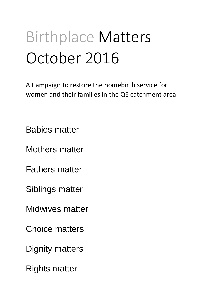# Birthplace Matters October 2016

A Campaign to restore the homebirth service for women and their families in the QE catchment area

Babies matter

Mothers matter

Fathers matter

Siblings matter

Midwives matter

Choice matters

Dignity matters

Rights matter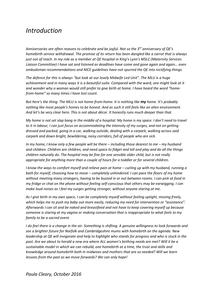# *Introduction*

*Anniversaries are often reasons to celebrate and be joyful. Not so the 3rd anniversary of QE's homebirth service withdrawal. The promise of its return has been dangled like a carrot that is always just out of reach. In my role as a member at QE hospital in King's Lynn's MSLC (Maternity Services Liaison Committee) I have sat and listened as deadlines have come and gone again and again… even ombudsman recommendations and NICE guidelines have not spurred the QE into rectifying things.*

*The defence for this is always "but look at our lovely Midwife Led Unit". The MLU is a huge achievement and in many ways it is a beautiful suite. Compared with the ward, one might look at it and wonder why a woman would still prefer to give birth at home. I have heard the word "homefrom-home" so many times I have lost count.*

*But here's the thing: The MLU is not home-from-home. It is nothing like my home. It's probably nothing like most people's homes to be honest. And as such it still feels like an alien environment. And let's be very clear here. This is not about décor. It honestly runs much deeper than that.*

*My home is not set slap bang in the middle of a hospital. My home is my space. I don't need to travel to it in labour, I can just focus on accommodating the intensity of my surges, and not on getting dressed and packed, going in a car, walking outside, dealing with a carpark, walking across said carpark and down bright, bewildering, noisy corridors, full of people who are sick.* 

*In my home, I know only a few people will be there – including those dearest to me – my husband and children. Children are children, and need space to fidget and loll and play and do all the things children naturally do. The hospital may be fine for one sensible older child, but is not really appropriate for anything more than a couple of hours for a toddler or for several children.*

*I know the ways to comfort myself and relieve pain at home – curling up with my husband, running a bath for myself, choosing how to move – completely unhindered. I can pace the floors of my home without meeting many strangers, having to be buzzed in or out between rooms. I can pick at food in my fridge or chat on the phone without feeling self-conscious that others may be earwigging. I can make loud noises as I feel my surges getting stronger, without anyone staring at me.* 

*As I give birth in my own space, I can be completely myself without feeling uptight, moving freely, which helps me to push my baby out more easily, reducing my need for intervention or "assistance". Afterwards I can sit and be naked and breastfeed and not have to keep covering myself up because someone is staring at my vagina or making conversation that is inappropriate to what feels to my family to be a sacred event.*

*I do feel there is a change in the air. Something is shifting. A genuine willingness to look forwards and see a brighter future for Norfolk and Cambridgeshire mums with homebirth on the agenda. New leadership at QE will invigorate and help to highlight who stands for progress and who is stuck in the past. Are we about to herald a new era where ALL women's birthing needs are met? Will it be a sustainable model in which we can rebuild, one homebirth at a time, the trust and skills and knowledge around homebirth both in midwives and mothers that are so needed? Will we learn lessons from the past as we move forwards? We can only hope!*

*Paula Cleary, October 2016*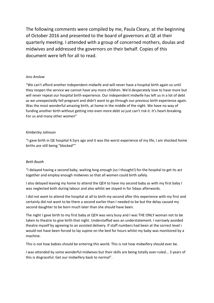The following comments were compiled by me, Paula Cleary, at the beginning of October 2016 and presented to the board of governors at QE at their quarterly meeting. I attended with a group of concerned mothers, doulas and midwives and addressed the governors on their behalf. Copies of this document were left for all to read.

# *Jess Anslow*

"We can't afford another independent midwife and will never have a hospital birth again so until they reopen the service we cannot have any more children. We'd desperately love to have more but will *never* repeat our hospital birth experience. Our independent midwife has left us in a lot of debt as we unexpectedly fell pregnant and didn't want to go through our previous birth experience again. Was the most wonderful amazing birth, at home in the middle of the night. We have no way of funding another birth without getting into even more debt so just can't risk it. It's heart-breaking. For us and many other women"

# *Kimberley Johnson*

"I gave birth in QE hospital 4.5yrs ago and it was the worst experience of my life, I am shocked home births are still being "blocked""

# *Beth Booth*

"I delayed having a second baby, waiting long enough (so I thought!) for the hospital to get its act together and employ enough midwives so that all women could birth safely.

I also delayed leaving my home to attend the QEH to have my second baby as with my first baby I was neglected both during labour and also whilst we stayed in for 5days afterwards.

I did not want to attend the hospital at all to birth my second after this experience with my first and certainly did not want to be there a second earlier than I needed to be but the delay caused my second daughter to be born much later than she should have been.

The night I gave birth to my first baby at QEH was very busy and I was THE ONLY woman not to be taken to theatre to give birth that night. Understaffed was an understatement. I narrowly avoided theatre myself by agreeing to an assisted delivery. If staff numbers had been at the correct level i would not have been forced to lay supine on the bed for hours whilst my baby was monitored by a machine.

This is not how babies should be entering this world. This is not how midwifery should ever be.

I was attended by some wonderful midwives but their skills are being totally over-ruled... 3 years of this is disgraceful. Get our midwifery back to normal".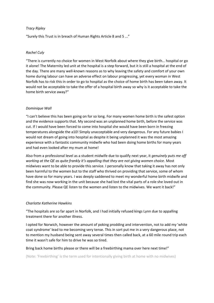# *Tracy Ripley*

"Surely this Trust is in breach of Human Rights Article 8 and 5 ..."

# *Rachel Culy*

"There is currently no choice for women in West Norfolk about where they give birth… hospital or go it alone! The Maternity led unit at the hospital is a step forward, but it is still a hospital at the end of the day. There are many well-known reasons as to why leaving the safety and comfort of your own home during labour can have an adverse effect on labour progressing, yet every woman in West Norfolk has to risk this in order to go to hospital as the choice of home birth has been taken away. It would not be acceptable to take the offer of a hospital birth away so why is it acceptable to take the home birth service away?"

# *Dominique Wall*

"I can't believe this has been going on for so long. For many women home birth is the safest option and the evidence supports that. My second was an unplanned home birth, before the service was cut. If I would have been forced to come into hospital she would have been born in freezing temperatures alongside the a10! Simply unacceptable and very dangerous. For any future babies I would not dream of going into hospital as despite it being unplanned it was the most amazing experience with a fantastic community midwife who had been doing home births for many years and had even looked after my mum at home!

Also from a professional level as a student midwife due to qualify next year, it *genuinely puts me off working at the QE as quite frankly it's appalling that they are not giving women choice*. Most midwives want to be able to provide this service. I personally know that taking it away has not only been harmful to the women but to the staff who thrived on providing that service, some of whom have done so for many years. I was deeply saddened to meet my wonderful home birth midwife and find she was now working in the unit because she had lost the vital parts of a role she loved out in the community. Please QE listen to the women and listen to the midwives. We want it back!"

### *Charlotte Katherine Hawkins*

"The hospitals are so far apart in Norfolk, and I had initially refused kings Lynn due to appalling treatment there for another illness.

I opted for Norwich, however the amount of poking prodding and intervention, not to add my 'white coat syndrome' lead to me becoming very tense. This in sort put me in a very dangerous place, not to mention my husband being sent away several times then called back, at a 60 mile round trip each time it wasn't safe for him to drive he was so tired.

### Bring back home births please or there will be a freebirthing mama over here next time!"

(Note: 'Freebirthing' is the term used for intentionally giving birth at home with no midwives)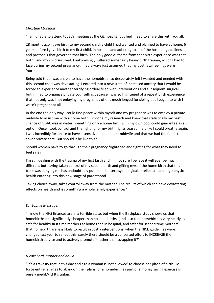# *Christine Marshall*

"I am unable to attend today's meeting at the QE hospital but feel I need to share this with you all.

28 months ago I gave birth to my second child, a child I had wanted and planned to have at home. 6 years before I gave birth to my first child, in hospital and adhering to all of the hospital guidelines and protocols that governed that birth. The only good outcome from that birth experience was that both I and my child survived. I unknowingly suffered some fairly heavy birth trauma, which I had to face during my second pregnancy. I had always just assumed that my postnatal feelings were 'normal'.

Being told that I was unable to have the homebirth I so desperately felt I wanted and needed with this second child was devastating. I entered into a new state of increased anxiety that I would be forced to experience another terrifying ordeal filled with interventions and subsequent surgical birth. I had to organize private counselling because I was so frightened of a repeat birth experience that not only was I not enjoying my pregnancy of this much longed for sibling but I began to wish I wasn't pregnant at all.

In the end the only way I could find peace within myself and my pregnancy was to employ a private midwife to assist me with a home birth. I'd done my research and knew that statistically my best chance of VBAC was in water, something only a home birth with my own pool could guarantee as an option. Once I took control and the fighting for my birth rights ceased I felt like I could breathe again. I was incredibly fortunate to have a sensitive independent midwife and that we had the funds to cover private care. But should it be like this?

Should women have to go through their pregnancy frightened and fighting for what they need to feel safe?

I'm still dealing with the trauma of my first birth and I'm not sure I believe it will ever be much different but having taken control of my second birth and gifting myself the home birth that this trust was denying me has undoubtedly put me in better psychological, intellectual and ergo physical health entering into this new stage of parenthood.

Taking choice away, takes control away from the mother. The results of which can have devastating effects on health and is something a whole family experiences"

# *Dr. Sophie Messager*

"I know the NHS finances are in a terrible state, but when the Birthplace study shows us that homebirths are significantly cheaper than hospital births, (and also that homebirth is very nearly as safe for healthy first time mothers at home than in hospital, and safer for second time mothers), that homebirth are less likely to result in costly interventions, when the NICE guidelines were changed last year to reflect this, surely there should be a concerted effort to INCREASE the homebirth service and to actively promote it rather than scrapping it?"

# *Nicole Lord, mother and doula*

"It's a travesty that in this day and age a woman is 'not allowed' to choose her place of birth. To force entire families to abandon their plans for a homebirth as part of a money saving exercise is purely mediEVIL! It's unfair.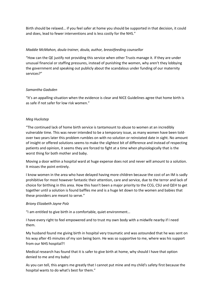Birth should be relaxed… if you feel safer at home you should be supported in that decision, it could and does, lead to fewer interventions and is less costly for the NHS."

# *Maddie McMahon, doula trainer, doula, author, breastfeeding counsellor*

"How can the QE justify not providing this service when other Trusts manage it. If they are under unusual financial or staffing pressures, instead of punishing the women, why aren't they lobbying the government and speaking out publicly about the scandalous under funding of our maternity services?"

# *Samantha Gadsden*

"It's an appalling situation when the evidence is clear and NICE Guidelines agree that home birth is as safe if not safer for low risk women."

# *Meg Huckstep*

"The continued lack of home birth service is tantamount to abuse to women at an incredibly vulnerable time. This was never intended to be a temporary issue, as many women have been toldover two years later this problem rumbles on with no solution or reinstated date in sight. No amount of insight or offered solutions seems to make the slightest bit of difference and instead of respecting patients and opinion, it seems they are forced to fight at a time when physiologically that is the worst thing for both mother and baby.

Moving a door within a hospital ward at huge expense does not and never will amount to a solution. It misses the point entirely.

I know women in the area who have delayed having more children because the cost of an IM is sadly prohibitive for most however fantastic their attention, care and service, due to the terror and lack of choice for birthing in this area. How this hasn't been a major priority to the CCG, CSU and QEH to get together until a solution is found baffles me and is a huge let down to the women and babies that these providers are meant to serve."

### *Briony Elizabeth Jayne Polz*

"I am entitled to give birth in a comfortable, quiet environment…

I have every right to feel empowered and to trust my own body with a midwife nearby if I need them.

My husband found me giving birth in hospital very traumatic and was astounded that he was sent on his way after 45 minutes of my son being born. He was so supportive to me, where was his support from our NHS hospital?!

Medical research has found that it is safer to give birth at home, why should I have that option denied to me and my baby!

As you can tell, this angers me greatly that I cannot put mine and my child's safety first because the hospital wants to do what's best for them."